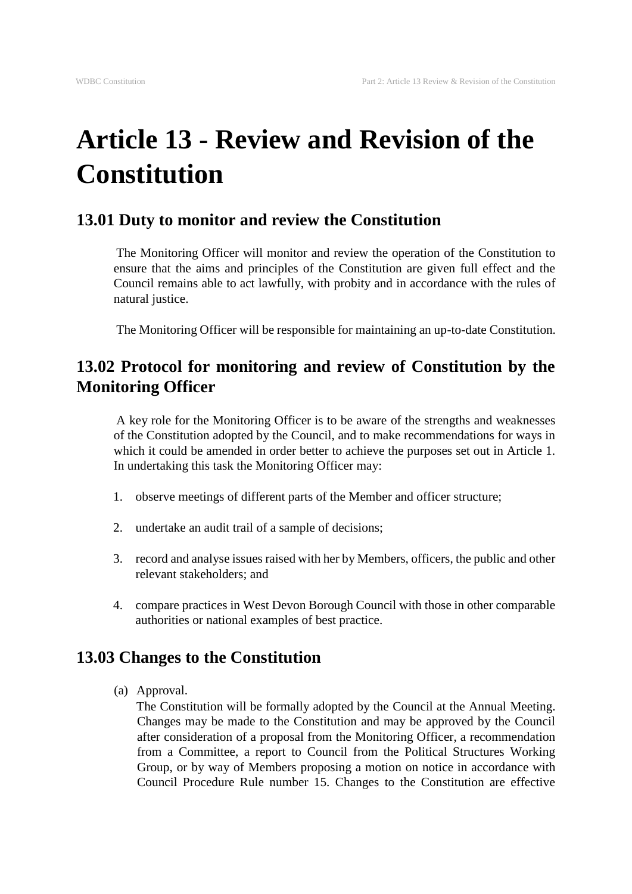# **Article 13 - Review and Revision of the Constitution**

### **13.01 Duty to monitor and review the Constitution**

The Monitoring Officer will monitor and review the operation of the Constitution to ensure that the aims and principles of the Constitution are given full effect and the Council remains able to act lawfully, with probity and in accordance with the rules of natural justice.

The Monitoring Officer will be responsible for maintaining an up-to-date Constitution.

## **13.02 Protocol for monitoring and review of Constitution by the Monitoring Officer**

A key role for the Monitoring Officer is to be aware of the strengths and weaknesses of the Constitution adopted by the Council, and to make recommendations for ways in which it could be amended in order better to achieve the purposes set out in Article 1. In undertaking this task the Monitoring Officer may:

- 1. observe meetings of different parts of the Member and officer structure;
- 2. undertake an audit trail of a sample of decisions;
- 3. record and analyse issues raised with her by Members, officers, the public and other relevant stakeholders; and
- 4. compare practices in West Devon Borough Council with those in other comparable authorities or national examples of best practice.

#### **13.03 Changes to the Constitution**

(a) Approval.

The Constitution will be formally adopted by the Council at the Annual Meeting. Changes may be made to the Constitution and may be approved by the Council after consideration of a proposal from the Monitoring Officer, a recommendation from a Committee, a report to Council from the Political Structures Working Group, or by way of Members proposing a motion on notice in accordance with Council Procedure Rule number 15. Changes to the Constitution are effective